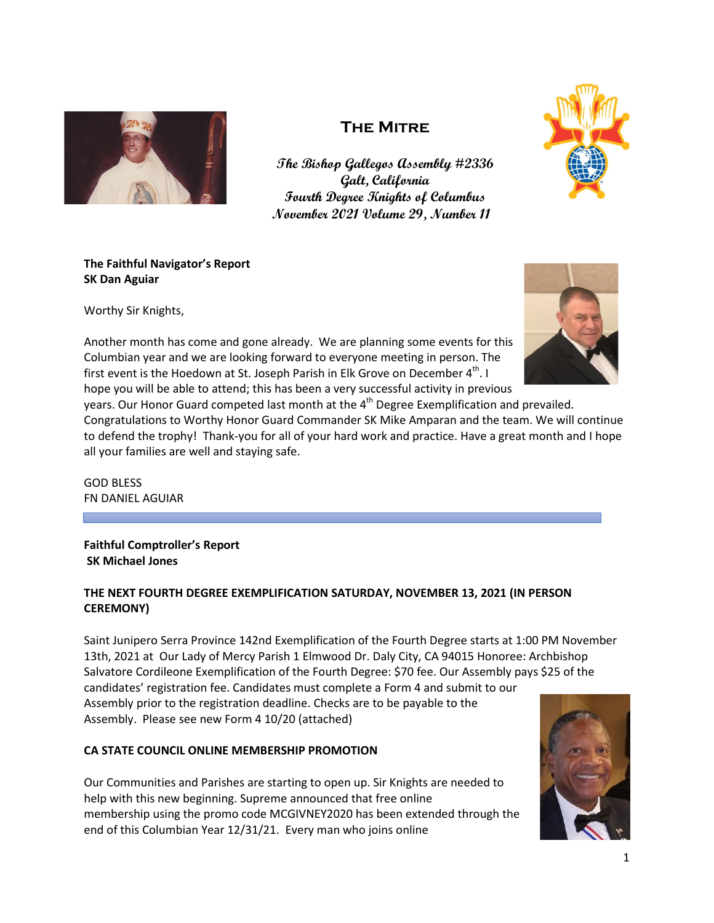

# **The Mitre**

**The Bishop Gallegos Assembly #2336 Galt, California Fourth Degree Knights of Columbus November 2021 Volume 29, Number 11**



## **The Faithful Navigator's Report SK Dan Aguiar**

Worthy Sir Knights,



Another month has come and gone already. We are planning some events for this Columbian year and we are looking forward to everyone meeting in person. The first event is the Hoedown at St. Joseph Parish in Elk Grove on December  $4<sup>th</sup>$ . I hope you will be able to attend; this has been a very successful activity in previous

years. Our Honor Guard competed last month at the 4<sup>th</sup> Degree Exemplification and prevailed. Congratulations to Worthy Honor Guard Commander SK Mike Amparan and the team. We will continue to defend the trophy! Thank-you for all of your hard work and practice. Have a great month and I hope all your families are well and staying safe.

GOD BLESS FN DANIEL AGUIAR

**Faithful Comptroller's Report SK Michael Jones**

# **THE NEXT FOURTH DEGREE EXEMPLIFICATION SATURDAY, NOVEMBER 13, 2021 (IN PERSON CEREMONY)**

Saint Junipero Serra Province 142nd Exemplification of the Fourth Degree starts at 1:00 PM November 13th, 2021 at Our Lady of Mercy Parish 1 Elmwood Dr. Daly City, CA 94015 Honoree: Archbishop Salvatore Cordileone Exemplification of the Fourth Degree: \$70 fee. Our Assembly pays \$25 of the candidates' registration fee. Candidates must complete a Form 4 and submit to our Assembly prior to the registration deadline. Checks are to be payable to the Assembly. Please see new Form 4 10/20 (attached)

# **CA STATE COUNCIL ONLINE MEMBERSHIP PROMOTION**

Our Communities and Parishes are starting to open up. Sir Knights are needed to help with this new beginning. Supreme announced that free online membership using the promo code MCGIVNEY2020 has been extended through the end of this Columbian Year 12/31/21. Every man who joins online

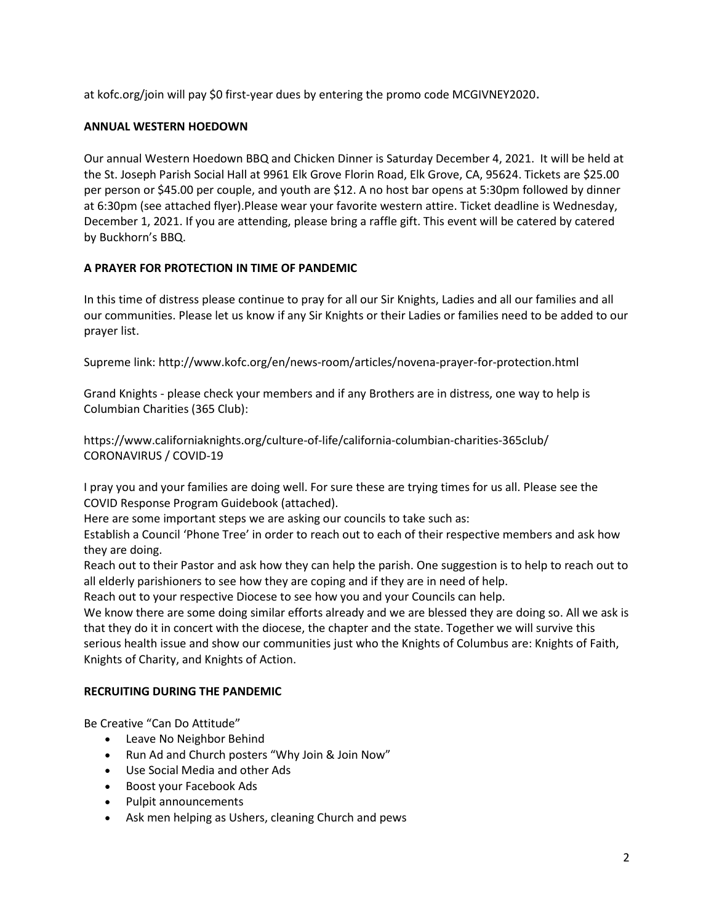at [kofc.org/join](http://kofc.org/join) will pay \$0 first-year dues by entering the promo code MCGIVNEY2020.

## **ANNUAL WESTERN HOEDOWN**

Our annual Western Hoedown BBQ and Chicken Dinner is Saturday December 4, 2021. It will be held at the St. Joseph Parish Social Hall at 9961 Elk Grove Florin Road, Elk Grove, CA, 95624. Tickets are \$25.00 per person or \$45.00 per couple, and youth are \$12. A no host bar opens at 5:30pm followed by dinner at 6:30pm (see attached flyer).Please wear your favorite western attire. Ticket deadline is Wednesday, December 1, 2021. If you are attending, please bring a raffle gift. This event will be catered by catered by Buckhorn's BBQ.

## **A PRAYER FOR PROTECTION IN TIME OF PANDEMIC**

In this time of distress please continue to pray for all our Sir Knights, Ladies and all our families and all our communities. Please let us know if any Sir Knights or their Ladies or families need to be added to our prayer list.

Supreme link: <http://www.kofc.org/en/news-room/articles/novena-prayer-for-protection.html>

Grand Knights - please check your members and if any Brothers are in distress, one way to help is Columbian Charities (365 Club):

<https://www.californiaknights.org/culture-of-life/california-columbian-charities-365club/> CORONAVIRUS / COVID-19

I pray you and your families are doing well. For sure these are trying times for us all. Please see the COVID Response Program Guidebook (attached).

Here are some important steps we are asking our councils to take such as:

Establish a Council 'Phone Tree' in order to reach out to each of their respective members and ask how they are doing.

Reach out to their Pastor and ask how they can help the parish. One suggestion is to help to reach out to all elderly parishioners to see how they are coping and if they are in need of help.

Reach out to your respective Diocese to see how you and your Councils can help.

We know there are some doing similar efforts already and we are blessed they are doing so. All we ask is that they do it in concert with the diocese, the chapter and the state. Together we will survive this serious health issue and show our communities just who the Knights of Columbus are: Knights of Faith, Knights of Charity, and Knights of Action.

## **RECRUITING DURING THE PANDEMIC**

Be Creative "Can Do Attitude"

- Leave No Neighbor Behind
- Run Ad and Church posters "Why Join & Join Now"
- Use Social Media and other Ads
- Boost your Facebook Ads
- Pulpit announcements
- Ask men helping as Ushers, cleaning Church and pews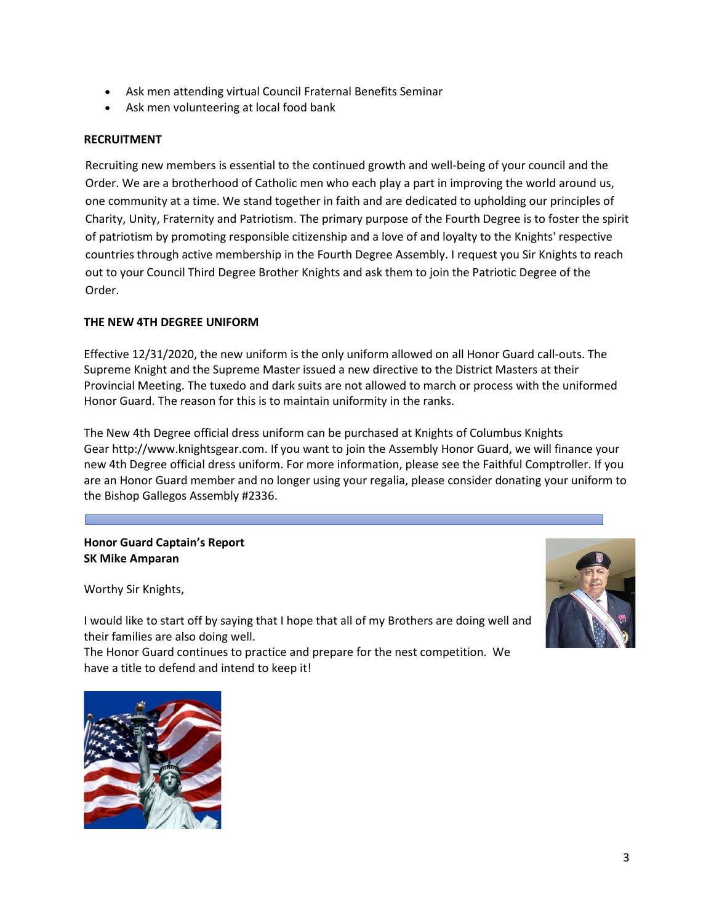- Ask men attending virtual Council Fraternal Benefits Seminar
- Ask men volunteering at local food bank

## **RECRUITMENT**

Recruiting new members is essential to the continued growth and well-being of your council and the Order. We are a brotherhood of Catholic men who each play a part in improving the world around us, one community at a time. We stand together in faith and are dedicated to upholding our principles of Charity, Unity, Fraternity and Patriotism. The primary purpose of the Fourth Degree is to foster the spirit of patriotism by promoting responsible citizenship and a love of and loyalty to the Knights' respective countries through active membership in the Fourth Degree Assembly. I request you Sir Knights to reach out to your Council Third Degree Brother Knights and ask them to join the Patriotic Degree of the Order.

## **THE NEW 4TH DEGREE UNIFORM**

Effective 12/31/2020, the new uniform is the only uniform allowed on all Honor Guard call-outs. The Supreme Knight and the Supreme Master issued a new directive to the District Masters at their Provincial Meeting. The tuxedo and dark suits are not allowed to march or process with the uniformed Honor Guard. The reason for this is to maintain uniformity in the ranks.

The New 4th Degree official dress uniform can be purchased at Knights of Columbus Knights Gear [http://www.knightsgear.com.](http://www.knightsgear.com/) If you want to join the Assembly Honor Guard, we will finance your new 4th Degree official dress uniform. For more information, please see the Faithful Comptroller. If you are an Honor Guard member and no longer using your regalia, please consider donating your uniform to the Bishop Gallegos Assembly #2336.

#### **Honor Guard Captain's Report SK Mike Amparan**

Worthy Sir Knights,

I would like to start off by saying that I hope that all of my Brothers are doing well and their families are also doing well.

The Honor Guard continues to practice and prepare for the nest competition. We have a title to defend and intend to keep it!



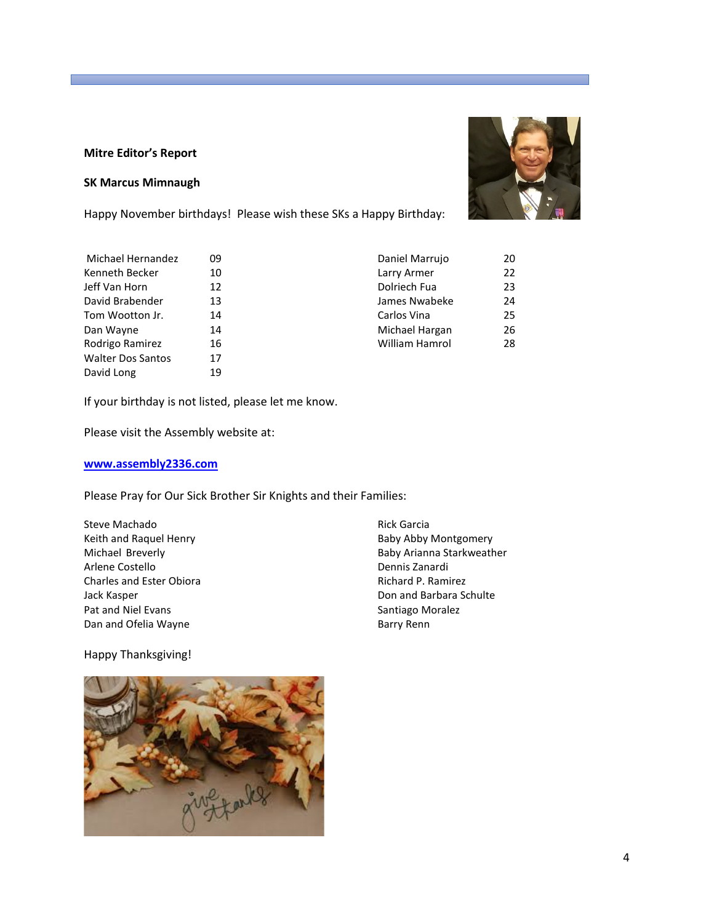#### **Mitre Editor's Report**

#### **SK Marcus Mimnaugh**

Happy November birthdays! Please wish these SKs a Happy Birthday:

| Michael Hernandez        | 09 |
|--------------------------|----|
| Kenneth Becker           | 10 |
| Jeff Van Horn            | 12 |
| David Brabender          | 13 |
| Tom Wootton Jr.          | 14 |
| Dan Wayne                | 14 |
| Rodrigo Ramirez          | 16 |
| <b>Walter Dos Santos</b> | 17 |
| David Long               | 19 |
|                          |    |

| Daniel Marrujo        | 20 |
|-----------------------|----|
| Larry Armer           | 22 |
| Dolriech Fua          | 23 |
| James Nwabeke         | 24 |
| Carlos Vina           | 25 |
| Michael Hargan        | 26 |
| <b>William Hamrol</b> | 28 |
|                       |    |

If your birthday is not listed, please let me know.

Please visit the Assembly website at:

#### **[www.assembly2336.com](http://www.assembly2336.com/)**

Please Pray for Our Sick Brother Sir Knights and their Families:

Steve Machado Keith and Raquel Henry Michael Breverly Arlene Costello Charles and Ester Obiora Jack Kasper Pat and Niel Evans Dan and Ofelia Wayne

Rick Garcia Baby Abby Montgomery Baby Arianna Starkweather Dennis Zanardi Richard P. Ramirez Don and Barbara Schulte Santiago Moralez Barry Renn

Happy Thanksgiving!